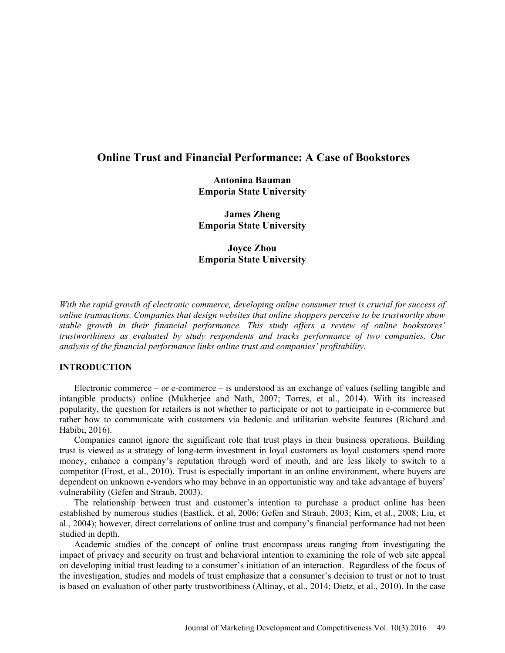# **Online Trust and Financial Performance: A Case of Bookstores**

**Antonina Bauman Emporia State University** 

**James Zheng Emporia State University** 

**Joyce Zhou Emporia State University** 

*With the rapid growth of electronic commerce, developing online consumer trust is crucial for success of online transactions. Companies that design websites that online shoppers perceive to be trustworthy show stable growth in their financial performance. This study offers a review of online bookstores' trustworthiness as evaluated by study respondents and tracks performance of two companies. Our analysis of the financial performance links online trust and companies' profitability.* 

# **INTRODUCTION**

Electronic commerce – or e-commerce – is understood as an exchange of values (selling tangible and intangible products) online (Mukherjee and Nath, 2007; Torres, et al., 2014). With its increased popularity, the question for retailers is not whether to participate or not to participate in e-commerce but rather how to communicate with customers via hedonic and utilitarian website features (Richard and Habibi, 2016).

Companies cannot ignore the significant role that trust plays in their business operations. Building trust is viewed as a strategy of long-term investment in loyal customers as loyal customers spend more money, enhance a company's reputation through word of mouth, and are less likely to switch to a competitor (Frost, et al., 2010). Trust is especially important in an online environment, where buyers are dependent on unknown e-vendors who may behave in an opportunistic way and take advantage of buyers' vulnerability (Gefen and Straub, 2003).

The relationship between trust and customer's intention to purchase a product online has been established by numerous studies (Eastlick, et al, 2006; Gefen and Straub, 2003; Kim, et al., 2008; Liu, et al., 2004); however, direct correlations of online trust and company's financial performance had not been studied in depth.

Academic studies of the concept of online trust encompass areas ranging from investigating the impact of privacy and security on trust and behavioral intention to examining the role of web site appeal on developing initial trust leading to a consumer's initiation of an interaction. Regardless of the focus of the investigation, studies and models of trust emphasize that a consumer's decision to trust or not to trust is based on evaluation of other party trustworthiness (Altinay, et al., 2014; Dietz, et al., 2010). In the case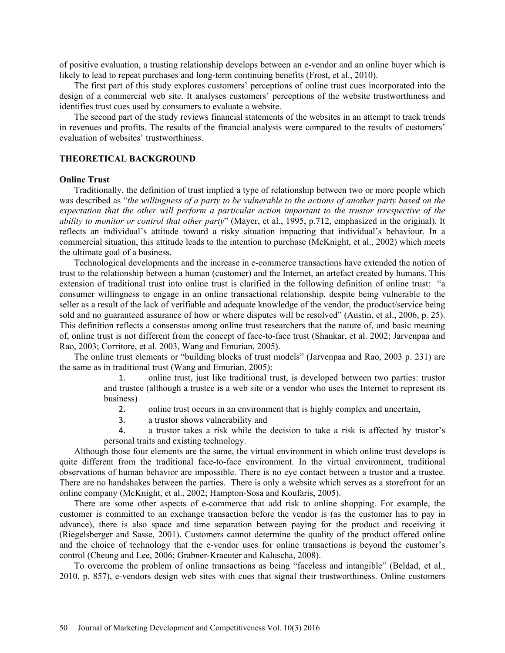of positive evaluation, a trusting relationship develops between an e-vendor and an online buyer which is likely to lead to repeat purchases and long-term continuing benefits (Frost, et al., 2010).

The first part of this study explores customers' perceptions of online trust cues incorporated into the design of a commercial web site. It analyses customers' perceptions of the website trustworthiness and identifies trust cues used by consumers to evaluate a website.

The second part of the study reviews financial statements of the websites in an attempt to track trends in revenues and profits. The results of the financial analysis were compared to the results of customers' evaluation of websites' trustworthiness.

# **THEORETICAL BACKGROUND**

### **Online Trust**

Traditionally, the definition of trust implied a type of relationship between two or more people which was described as "*the willingness of a party to be vulnerable to the actions of another party based on the expectation that the other will perform a particular action important to the trustor irrespective of the ability to monitor or control that other party*" (Mayer, et al., 1995, p.712, emphasized in the original). It reflects an individual's attitude toward a risky situation impacting that individual's behaviour. In a commercial situation, this attitude leads to the intention to purchase (McKnight, et al., 2002) which meets the ultimate goal of a business.

Technological developments and the increase in e-commerce transactions have extended the notion of trust to the relationship between a human (customer) and the Internet, an artefact created by humans. This extension of traditional trust into online trust is clarified in the following definition of online trust: "a consumer willingness to engage in an online transactional relationship, despite being vulnerable to the seller as a result of the lack of verifiable and adequate knowledge of the vendor, the product/service being sold and no guaranteed assurance of how or where disputes will be resolved" (Austin, et al., 2006, p. 25). This definition reflects a consensus among online trust researchers that the nature of, and basic meaning of, online trust is not different from the concept of face-to-face trust (Shankar, et al. 2002; Jarvenpaa and Rao, 2003; Corritore, et al. 2003, Wang and Emurian, 2005).

The online trust elements or "building blocks of trust models" (Jarvenpaa and Rao, 2003 p. 231) are the same as in traditional trust (Wang and Emurian, 2005):

> 1. online trust, just like traditional trust, is developed between two parties: trustor and trustee (although a trustee is a web site or a vendor who uses the Internet to represent its business)

- 2. online trust occurs in an environment that is highly complex and uncertain,
- 3. a trustor shows vulnerability and

4. a trustor takes a risk while the decision to take a risk is affected by trustor's personal traits and existing technology.

Although those four elements are the same, the virtual environment in which online trust develops is quite different from the traditional face-to-face environment. In the virtual environment, traditional observations of human behavior are impossible. There is no eye contact between a trustor and a trustee. There are no handshakes between the parties. There is only a website which serves as a storefront for an online company (McKnight, et al., 2002; Hampton-Sosa and Koufaris, 2005).

There are some other aspects of e-commerce that add risk to online shopping. For example, the customer is committed to an exchange transaction before the vendor is (as the customer has to pay in advance), there is also space and time separation between paying for the product and receiving it (Riegelsberger and Sasse, 2001). Customers cannot determine the quality of the product offered online and the choice of technology that the e-vendor uses for online transactions is beyond the customer's control (Cheung and Lee, 2006; Grabner-Kraeuter and Kaluscha, 2008).

To overcome the problem of online transactions as being "faceless and intangible" (Beldad, et al., 2010, p. 857), e-vendors design web sites with cues that signal their trustworthiness. Online customers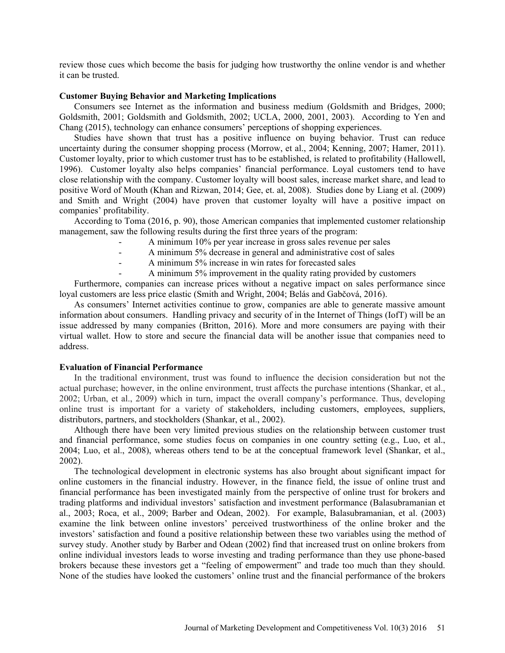review those cues which become the basis for judging how trustworthy the online vendor is and whether it can be trusted.

### **Customer Buying Behavior and Marketing Implications**

Consumers see Internet as the information and business medium (Goldsmith and Bridges, 2000; Goldsmith, 2001; Goldsmith and Goldsmith, 2002; UCLA, 2000, 2001, 2003). According to Yen and Chang (2015), technology can enhance consumers' perceptions of shopping experiences.

Studies have shown that trust has a positive influence on buying behavior. Trust can reduce uncertainty during the consumer shopping process (Morrow, et al., 2004; Kenning, 2007; Hamer, 2011). Customer loyalty, prior to which customer trust has to be established, is related to profitability (Hallowell, 1996). Customer loyalty also helps companies' financial performance. Loyal customers tend to have close relationship with the company. Customer loyalty will boost sales, increase market share, and lead to positive Word of Mouth (Khan and Rizwan, 2014; Gee, et. al, 2008). Studies done by Liang et al. (2009) and Smith and Wright (2004) have proven that customer loyalty will have a positive impact on companies' profitability.

According to Toma (2016, p. 90), those American companies that implemented customer relationship management, saw the following results during the first three years of the program:

- A minimum 10% per year increase in gross sales revenue per sales
	- A minimum 5% decrease in general and administrative cost of sales
- A minimum 5% increase in win rates for forecasted sales
	- A minimum 5% improvement in the quality rating provided by customers

Furthermore, companies can increase prices without a negative impact on sales performance since loyal customers are less price elastic (Smith and Wright, 2004; Belás and Gabčová, 2016).

As consumers' Internet activities continue to grow, companies are able to generate massive amount information about consumers. Handling privacy and security of in the Internet of Things (IofT) will be an issue addressed by many companies (Britton, 2016). More and more consumers are paying with their virtual wallet. How to store and secure the financial data will be another issue that companies need to address.

# **Evaluation of Financial Performance**

In the traditional environment, trust was found to influence the decision consideration but not the actual purchase; however, in the online environment, trust affects the purchase intentions (Shankar, et al., 2002; Urban, et al., 2009) which in turn, impact the overall company's performance. Thus, developing online trust is important for a variety of stakeholders, including customers, employees, suppliers, distributors, partners, and stockholders (Shankar, et al., 2002).

Although there have been very limited previous studies on the relationship between customer trust and financial performance, some studies focus on companies in one country setting (e.g., Luo, et al., 2004; Luo, et al., 2008), whereas others tend to be at the conceptual framework level (Shankar, et al., 2002).

The technological development in electronic systems has also brought about significant impact for online customers in the financial industry. However, in the finance field, the issue of online trust and financial performance has been investigated mainly from the perspective of online trust for brokers and trading platforms and individual investors' satisfaction and investment performance (Balasubramanian et al., 2003; Roca, et al., 2009; Barber and Odean, 2002). For example, Balasubramanian, et al. (2003) examine the link between online investors' perceived trustworthiness of the online broker and the investors' satisfaction and found a positive relationship between these two variables using the method of survey study. Another study by Barber and Odean (2002) find that increased trust on online brokers from online individual investors leads to worse investing and trading performance than they use phone-based brokers because these investors get a "feeling of empowerment" and trade too much than they should. None of the studies have looked the customers' online trust and the financial performance of the brokers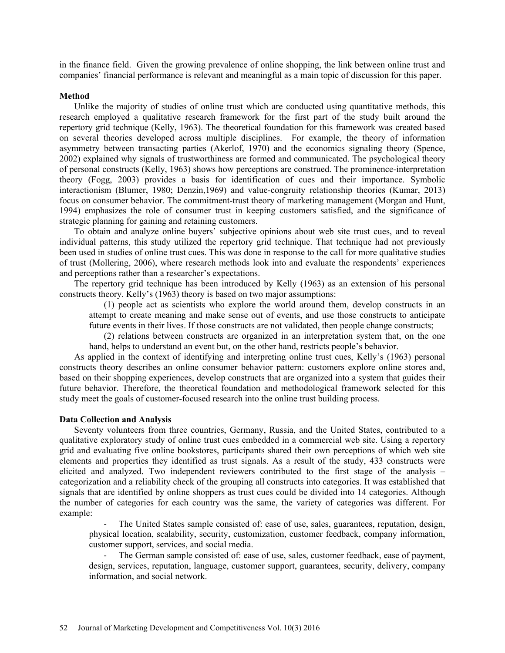in the finance field. Given the growing prevalence of online shopping, the link between online trust and companies' financial performance is relevant and meaningful as a main topic of discussion for this paper.

#### **Method**

Unlike the majority of studies of online trust which are conducted using quantitative methods, this research employed a qualitative research framework for the first part of the study built around the repertory grid technique (Kelly, 1963). The theoretical foundation for this framework was created based on several theories developed across multiple disciplines. For example, the theory of information asymmetry between transacting parties (Akerlof, 1970) and the economics signaling theory (Spence, 2002) explained why signals of trustworthiness are formed and communicated. The psychological theory of personal constructs (Kelly, 1963) shows how perceptions are construed. The prominence-interpretation theory (Fogg, 2003) provides a basis for identification of cues and their importance. Symbolic interactionism (Blumer, 1980; Denzin,1969) and value-congruity relationship theories (Kumar, 2013) focus on consumer behavior. The commitment-trust theory of marketing management (Morgan and Hunt, 1994) emphasizes the role of consumer trust in keeping customers satisfied, and the significance of strategic planning for gaining and retaining customers.

To obtain and analyze online buyers' subjective opinions about web site trust cues, and to reveal individual patterns, this study utilized the repertory grid technique. That technique had not previously been used in studies of online trust cues. This was done in response to the call for more qualitative studies of trust (Mollering, 2006), where research methods look into and evaluate the respondents' experiences and perceptions rather than a researcher's expectations.

The repertory grid technique has been introduced by Kelly (1963) as an extension of his personal constructs theory. Kelly's (1963) theory is based on two major assumptions:

(1) people act as scientists who explore the world around them, develop constructs in an attempt to create meaning and make sense out of events, and use those constructs to anticipate future events in their lives. If those constructs are not validated, then people change constructs;

(2) relations between constructs are organized in an interpretation system that, on the one hand, helps to understand an event but, on the other hand, restricts people's behavior.

As applied in the context of identifying and interpreting online trust cues, Kelly's (1963) personal constructs theory describes an online consumer behavior pattern: customers explore online stores and, based on their shopping experiences, develop constructs that are organized into a system that guides their future behavior. Therefore, the theoretical foundation and methodological framework selected for this study meet the goals of customer-focused research into the online trust building process.

#### **Data Collection and Analysis**

Seventy volunteers from three countries, Germany, Russia, and the United States, contributed to a qualitative exploratory study of online trust cues embedded in a commercial web site. Using a repertory grid and evaluating five online bookstores, participants shared their own perceptions of which web site elements and properties they identified as trust signals. As a result of the study, 433 constructs were elicited and analyzed. Two independent reviewers contributed to the first stage of the analysis – categorization and a reliability check of the grouping all constructs into categories. It was established that signals that are identified by online shoppers as trust cues could be divided into 14 categories. Although the number of categories for each country was the same, the variety of categories was different. For example:

‐ The United States sample consisted of: ease of use, sales, guarantees, reputation, design, physical location, scalability, security, customization, customer feedback, company information, customer support, services, and social media.

‐ The German sample consisted of: ease of use, sales, customer feedback, ease of payment, design, services, reputation, language, customer support, guarantees, security, delivery, company information, and social network.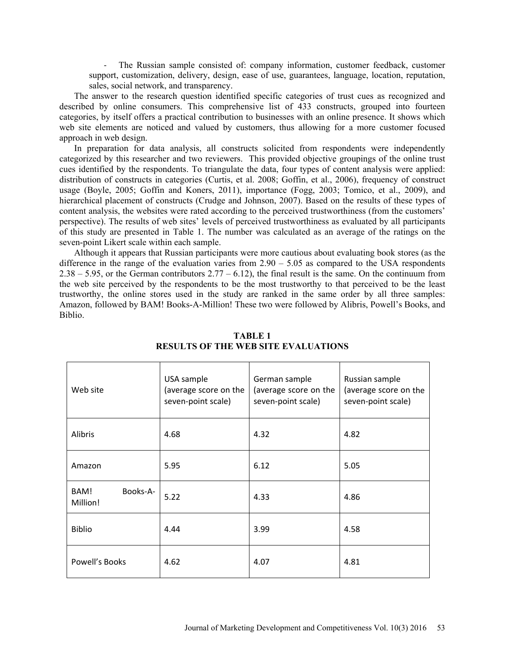‐ The Russian sample consisted of: company information, customer feedback, customer support, customization, delivery, design, ease of use, guarantees, language, location, reputation, sales, social network, and transparency.

The answer to the research question identified specific categories of trust cues as recognized and described by online consumers. This comprehensive list of 433 constructs, grouped into fourteen categories, by itself offers a practical contribution to businesses with an online presence. It shows which web site elements are noticed and valued by customers, thus allowing for a more customer focused approach in web design.

In preparation for data analysis, all constructs solicited from respondents were independently categorized by this researcher and two reviewers. This provided objective groupings of the online trust cues identified by the respondents. To triangulate the data, four types of content analysis were applied: distribution of constructs in categories (Curtis, et al. 2008; Goffin, et al., 2006), frequency of construct usage (Boyle, 2005; Goffin and Koners, 2011), importance (Fogg, 2003; Tomico, et al., 2009), and hierarchical placement of constructs (Crudge and Johnson, 2007). Based on the results of these types of content analysis, the websites were rated according to the perceived trustworthiness (from the customers' perspective). The results of web sites' levels of perceived trustworthiness as evaluated by all participants of this study are presented in Table 1. The number was calculated as an average of the ratings on the seven-point Likert scale within each sample.

Although it appears that Russian participants were more cautious about evaluating book stores (as the difference in the range of the evaluation varies from 2.90 – 5.05 as compared to the USA respondents  $2.38 - 5.95$ , or the German contributors  $2.77 - 6.12$ ), the final result is the same. On the continuum from the web site perceived by the respondents to be the most trustworthy to that perceived to be the least trustworthy, the online stores used in the study are ranked in the same order by all three samples: Amazon, followed by BAM! Books-A-Million! These two were followed by Alibris, Powell's Books, and Biblio.

| Web site                     | USA sample<br>(average score on the<br>seven-point scale) | German sample<br>(average score on the<br>seven-point scale) | Russian sample<br>(average score on the<br>seven-point scale) |  |
|------------------------------|-----------------------------------------------------------|--------------------------------------------------------------|---------------------------------------------------------------|--|
| Alibris                      | 4.68                                                      | 4.32                                                         | 4.82                                                          |  |
| Amazon                       | 5.95                                                      | 6.12                                                         | 5.05                                                          |  |
| Books-A-<br>BAM!<br>Million! | 5.22                                                      | 4.33                                                         | 4.86                                                          |  |
| <b>Biblio</b>                | 4.44                                                      | 3.99                                                         | 4.58                                                          |  |
| Powell's Books               | 4.62                                                      | 4.07                                                         | 4.81                                                          |  |

**TABLE 1 RESULTS OF THE WEB SITE EVALUATIONS**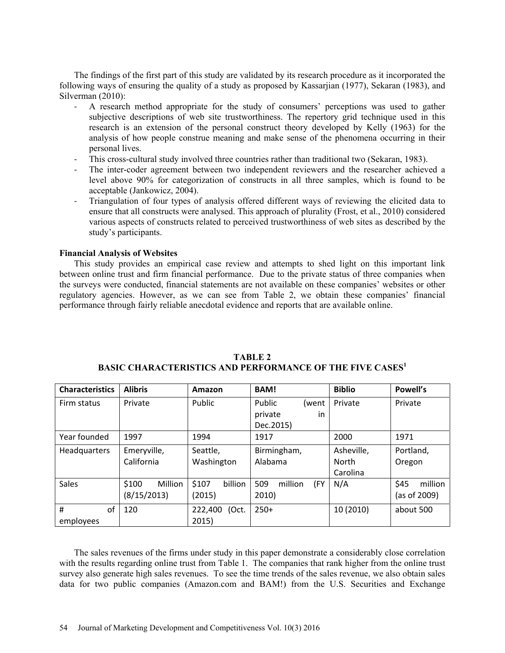The findings of the first part of this study are validated by its research procedure as it incorporated the following ways of ensuring the quality of a study as proposed by Kassarjian (1977), Sekaran (1983), and Silverman (2010):

- ‐ A research method appropriate for the study of consumers' perceptions was used to gather subjective descriptions of web site trustworthiness. The repertory grid technique used in this research is an extension of the personal construct theory developed by Kelly (1963) for the analysis of how people construe meaning and make sense of the phenomena occurring in their personal lives.
- ‐ This cross-cultural study involved three countries rather than traditional two (Sekaran, 1983).
- ‐ The inter-coder agreement between two independent reviewers and the researcher achieved a level above 90% for categorization of constructs in all three samples, which is found to be acceptable (Jankowicz, 2004).
- ‐ Triangulation of four types of analysis offered different ways of reviewing the elicited data to ensure that all constructs were analysed. This approach of plurality (Frost, et al., 2010) considered various aspects of constructs related to perceived trustworthiness of web sites as described by the study's participants.

# **Financial Analysis of Websites**

This study provides an empirical case review and attempts to shed light on this important link between online trust and firm financial performance. Due to the private status of three companies when the surveys were conducted, financial statements are not available on these companies' websites or other regulatory agencies. However, as we can see from Table 2, we obtain these companies' financial performance through fairly reliable anecdotal evidence and reports that are available online.

| <b>Alibris</b><br><b>Characteristics</b> |                  | Amazon           | <b>BAM!</b>           | <b>Biblio</b> | Powell's        |  |
|------------------------------------------|------------------|------------------|-----------------------|---------------|-----------------|--|
| Firm status                              | Private          | <b>Public</b>    | Public<br>(went       | Private       | Private         |  |
|                                          |                  |                  | private<br>in         |               |                 |  |
|                                          |                  |                  | Dec.2015)             |               |                 |  |
| 1997<br>Year founded                     |                  | 1994<br>1917     |                       | 2000          | 1971            |  |
| <b>Headquarters</b>                      | Emeryville,      | Seattle,         | Birmingham,           | Asheville,    | Portland,       |  |
|                                          | California       | Washington       | Alabama               | <b>North</b>  | Oregon          |  |
|                                          |                  |                  |                       | Carolina      |                 |  |
| <b>Sales</b>                             | \$100<br>Million | \$107<br>billion | 509<br>million<br>(FY | N/A           | \$45<br>million |  |
|                                          | (8/15/2013)      | (2015)           | 2010)                 |               | (as of 2009)    |  |
| #<br>of                                  | 120              | 222,400<br>(Oct. | $250+$                | 10 (2010)     | about 500       |  |
| employees                                |                  | 2015)            |                       |               |                 |  |

| TABLE 2                                                              |
|----------------------------------------------------------------------|
| BASIC CHARACTERISTICS AND PERFORMANCE OF THE FIVE CASES <sup>1</sup> |

The sales revenues of the firms under study in this paper demonstrate a considerably close correlation with the results regarding online trust from Table 1. The companies that rank higher from the online trust survey also generate high sales revenues. To see the time trends of the sales revenue, we also obtain sales data for two public companies (Amazon.com and BAM!) from the U.S. Securities and Exchange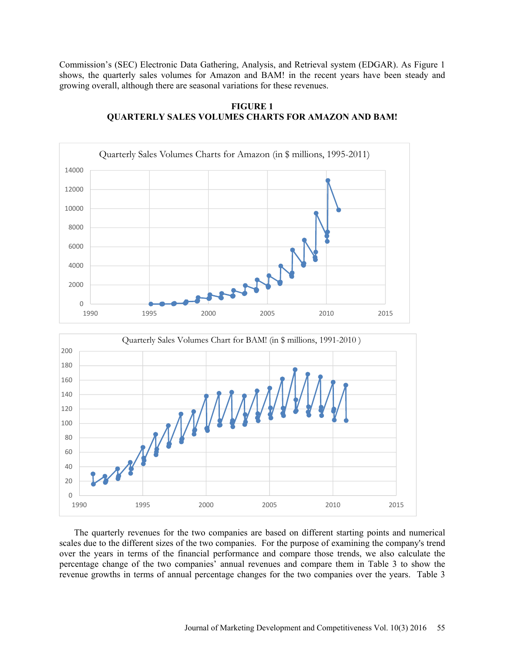Commission's (SEC) Electronic Data Gathering, Analysis, and Retrieval system (EDGAR). As Figure 1 shows, the quarterly sales volumes for Amazon and BAM! in the recent years have been steady and growing overall, although there are seasonal variations for these revenues.







The quarterly revenues for the two companies are based on different starting points and numerical scales due to the different sizes of the two companies. For the purpose of examining the company's trend over the years in terms of the financial performance and compare those trends, we also calculate the percentage change of the two companies' annual revenues and compare them in Table 3 to show the revenue growths in terms of annual percentage changes for the two companies over the years. Table 3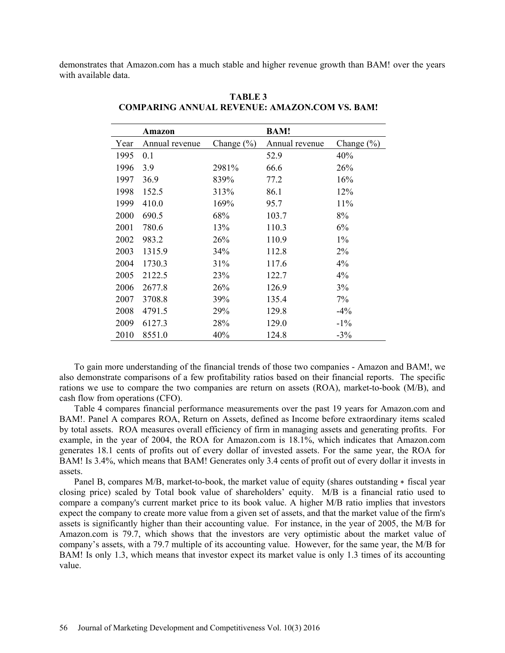demonstrates that Amazon.com has a much stable and higher revenue growth than BAM! over the years with available data.

|      | Amazon         |                | <b>BAM!</b>    |                |
|------|----------------|----------------|----------------|----------------|
| Year | Annual revenue | Change $(\% )$ | Annual revenue | Change $(\% )$ |
| 1995 | 0.1            |                | 52.9           | 40%            |
| 1996 | 3.9            | 2981%          | 66.6           | 26%            |
| 1997 | 36.9           | 839%           | 77.2           | 16%            |
| 1998 | 152.5          | 313%           | 86.1           | 12%            |
| 1999 | 410.0          | 169%           | 95.7           | 11%            |
| 2000 | 690.5          | 68%            | 103.7          | 8%             |
| 2001 | 780.6          | 13%            | 110.3          | 6%             |
| 2002 | 983.2          | 26%            | 110.9          | $1\%$          |
| 2003 | 1315.9         | 34%            | 112.8          | $2\%$          |
| 2004 | 1730.3         | 31%            | 117.6          | 4%             |
| 2005 | 2122.5         | 23%            | 122.7          | 4%             |
| 2006 | 2677.8         | 26%            | 126.9          | 3%             |
| 2007 | 3708.8         | 39%            | 135.4          | 7%             |
| 2008 | 4791.5         | 29%            | 129.8          | $-4\%$         |
| 2009 | 6127.3         | 28%            | 129.0          | $-1\%$         |
| 2010 | 8551.0         | 40%            | 124.8          | $-3\%$         |

**TABLE 3 COMPARING ANNUAL REVENUE: AMAZON.COM VS. BAM!**

To gain more understanding of the financial trends of those two companies - Amazon and BAM!, we also demonstrate comparisons of a few profitability ratios based on their financial reports. The specific rations we use to compare the two companies are return on assets (ROA), market-to-book (M/B), and cash flow from operations (CFO).

Table 4 compares financial performance measurements over the past 19 years for Amazon.com and BAM!. Panel A compares ROA, Return on Assets, defined as Income before extraordinary items scaled by total assets. ROA measures overall efficiency of firm in managing assets and generating profits. For example, in the year of 2004, the ROA for Amazon.com is 18.1%, which indicates that Amazon.com generates 18.1 cents of profits out of every dollar of invested assets. For the same year, the ROA for BAM! Is 3.4%, which means that BAM! Generates only 3.4 cents of profit out of every dollar it invests in assets.

Panel B, compares M/B, market-to-book, the market value of equity (shares outstanding ∗ fiscal year closing price) scaled by Total book value of shareholders' equity. M/B is a financial ratio used to compare a company's current market price to its book value. A higher M/B ratio implies that investors expect the company to create more value from a given set of assets, and that the market value of the firm's assets is significantly higher than their accounting value. For instance, in the year of 2005, the M/B for Amazon.com is 79.7, which shows that the investors are very optimistic about the market value of company's assets, with a 79.7 multiple of its accounting value. However, for the same year, the M/B for BAM! Is only 1.3, which means that investor expect its market value is only 1.3 times of its accounting value.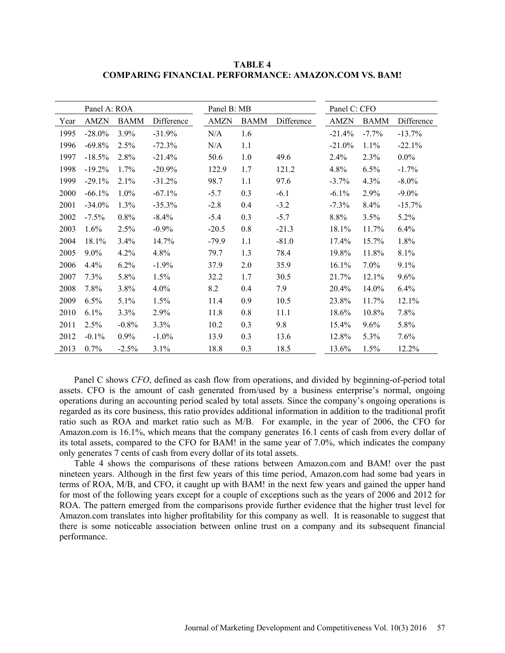**TABLE 4 COMPARING FINANCIAL PERFORMANCE: AMAZON.COM VS. BAM!** 

|      | Panel A: ROA |             |            | Panel B: MB |             |            | Panel C: CFO |             |            |
|------|--------------|-------------|------------|-------------|-------------|------------|--------------|-------------|------------|
| Year | <b>AMZN</b>  | <b>BAMM</b> | Difference | AMZN        | <b>BAMM</b> | Difference | <b>AMZN</b>  | <b>BAMM</b> | Difference |
| 1995 | $-28.0\%$    | 3.9%        | $-31.9%$   | N/A         | 1.6         |            | $-21.4%$     | $-7.7%$     | $-13.7%$   |
| 1996 | $-69.8%$     | 2.5%        | $-72.3%$   | N/A         | 1.1         |            | $-21.0\%$    | 1.1%        | $-22.1%$   |
| 1997 | $-18.5%$     | 2.8%        | $-21.4%$   | 50.6        | 1.0         | 49.6       | 2.4%         | 2.3%        | $0.0\%$    |
| 1998 | $-19.2%$     | 1.7%        | $-20.9%$   | 122.9       | 1.7         | 121.2      | 4.8%         | 6.5%        | $-1.7%$    |
| 1999 | $-29.1%$     | 2.1%        | $-31.2%$   | 98.7        | 1.1         | 97.6       | $-3.7\%$     | 4.3%        | $-8.0\%$   |
| 2000 | $-66.1%$     | 1.0%        | $-67.1%$   | $-5.7$      | 0.3         | $-6.1$     | $-6.1\%$     | 2.9%        | $-9.0\%$   |
| 2001 | $-34.0%$     | 1.3%        | $-35.3%$   | $-2.8$      | 0.4         | $-3.2$     | $-7.3%$      | 8.4%        | $-15.7%$   |
| 2002 | $-7.5\%$     | 0.8%        | $-8.4\%$   | $-5.4$      | 0.3         | $-5.7$     | 8.8%         | 3.5%        | 5.2%       |
| 2003 | 1.6%         | 2.5%        | $-0.9%$    | $-20.5$     | 0.8         | $-21.3$    | 18.1%        | 11.7%       | 6.4%       |
| 2004 | 18.1%        | 3.4%        | 14.7%      | $-79.9$     | 1.1         | $-81.0$    | 17.4%        | 15.7%       | 1.8%       |
| 2005 | $9.0\%$      | 4.2%        | 4.8%       | 79.7        | 1.3         | 78.4       | 19.8%        | 11.8%       | 8.1%       |
| 2006 | 4.4%         | 6.2%        | $-1.9%$    | 37.9        | 2.0         | 35.9       | 16.1%        | 7.0%        | $9.1\%$    |
| 2007 | 7.3%         | 5.8%        | 1.5%       | 32.2        | 1.7         | 30.5       | 21.7%        | 12.1%       | 9.6%       |
| 2008 | 7.8%         | 3.8%        | 4.0%       | 8.2         | 0.4         | 7.9        | 20.4%        | 14.0%       | 6.4%       |
| 2009 | 6.5%         | 5.1%        | 1.5%       | 11.4        | 0.9         | 10.5       | 23.8%        | 11.7%       | 12.1%      |
| 2010 | $6.1\%$      | 3.3%        | 2.9%       | 11.8        | 0.8         | 11.1       | 18.6%        | 10.8%       | 7.8%       |
| 2011 | 2.5%         | $-0.8%$     | 3.3%       | 10.2        | 0.3         | 9.8        | 15.4%        | $9.6\%$     | 5.8%       |
| 2012 | $-0.1\%$     | $0.9\%$     | $-1.0\%$   | 13.9        | 0.3         | 13.6       | 12.8%        | $5.3\%$     | 7.6%       |
| 2013 | 0.7%         | $-2.5%$     | 3.1%       | 18.8        | 0.3         | 18.5       | 13.6%        | 1.5%        | 12.2%      |

Panel C shows *CFO*, defined as cash flow from operations, and divided by beginning-of-period total assets. CFO is the amount of cash generated from/used by a business enterprise's normal, ongoing operations during an accounting period scaled by total assets. Since the company's ongoing operations is regarded as its core business, this ratio provides additional information in addition to the traditional profit ratio such as ROA and market ratio such as M/B. For example, in the year of 2006, the CFO for Amazon.com is 16.1%, which means that the company generates 16.1 cents of cash from every dollar of its total assets, compared to the CFO for BAM! in the same year of 7.0%, which indicates the company only generates 7 cents of cash from every dollar of its total assets.

Table 4 shows the comparisons of these rations between Amazon.com and BAM! over the past nineteen years. Although in the first few years of this time period, Amazon.com had some bad years in terms of ROA, M/B, and CFO, it caught up with BAM! in the next few years and gained the upper hand for most of the following years except for a couple of exceptions such as the years of 2006 and 2012 for ROA. The pattern emerged from the comparisons provide further evidence that the higher trust level for Amazon.com translates into higher profitability for this company as well. It is reasonable to suggest that there is some noticeable association between online trust on a company and its subsequent financial performance.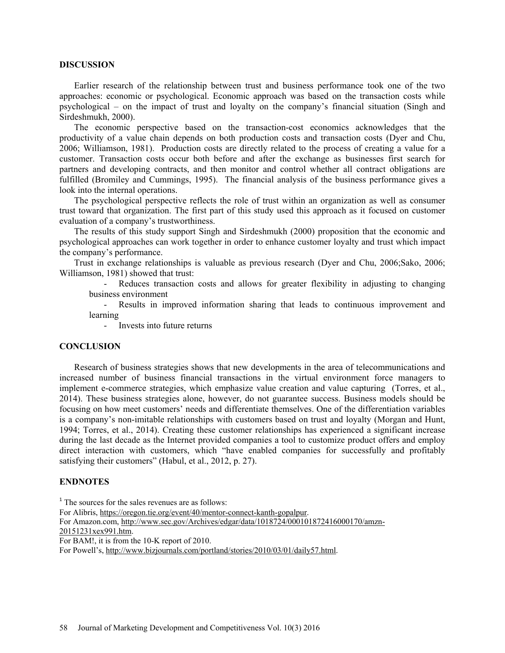#### **DISCUSSION**

Earlier research of the relationship between trust and business performance took one of the two approaches: economic or psychological. Economic approach was based on the transaction costs while psychological – on the impact of trust and loyalty on the company's financial situation (Singh and Sirdeshmukh, 2000).

The economic perspective based on the transaction-cost economics acknowledges that the productivity of a value chain depends on both production costs and transaction costs (Dyer and Chu, 2006; Williamson, 1981). Production costs are directly related to the process of creating a value for a customer. Transaction costs occur both before and after the exchange as businesses first search for partners and developing contracts, and then monitor and control whether all contract obligations are fulfilled (Bromiley and Cummings, 1995). The financial analysis of the business performance gives a look into the internal operations.

The psychological perspective reflects the role of trust within an organization as well as consumer trust toward that organization. The first part of this study used this approach as it focused on customer evaluation of a company's trustworthiness.

The results of this study support Singh and Sirdeshmukh (2000) proposition that the economic and psychological approaches can work together in order to enhance customer loyalty and trust which impact the company's performance.

Trust in exchange relationships is valuable as previous research (Dyer and Chu, 2006;Sako, 2006; Williamson, 1981) showed that trust:

Reduces transaction costs and allows for greater flexibility in adjusting to changing business environment

- Results in improved information sharing that leads to continuous improvement and learning

- Invests into future returns

### **CONCLUSION**

Research of business strategies shows that new developments in the area of telecommunications and increased number of business financial transactions in the virtual environment force managers to implement e-commerce strategies, which emphasize value creation and value capturing (Torres, et al., 2014). These business strategies alone, however, do not guarantee success. Business models should be focusing on how meet customers' needs and differentiate themselves. One of the differentiation variables is a company's non-imitable relationships with customers based on trust and loyalty (Morgan and Hunt, 1994; Torres, et al., 2014). Creating these customer relationships has experienced a significant increase during the last decade as the Internet provided companies a tool to customize product offers and employ direct interaction with customers, which "have enabled companies for successfully and profitably satisfying their customers" (Habul, et al., 2012, p. 27).

# **ENDNOTES**

<sup>1</sup> The sources for the sales revenues are as follows: For Alibris, https://oregon.tie.org/event/40/mentor-connect-kanth-gopalpur. For Amazon.com, http://www.sec.gov/Archives/edgar/data/1018724/000101872416000170/amzn-20151231xex991.htm. For BAM!, it is from the 10-K report of 2010. For Powell's, http://www.bizjournals.com/portland/stories/2010/03/01/daily57.html.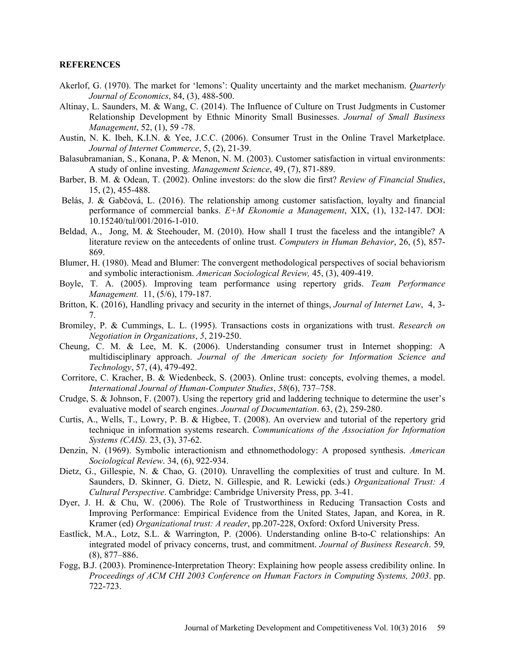### **REFERENCES**

- Akerlof, G. (1970). The market for 'lemons': Quality uncertainty and the market mechanism. *Quarterly Journal of Economics*, 84, (3), 488-500.
- Altinay, L. Saunders, M. & Wang, C. (2014). The Influence of Culture on Trust Judgments in Customer Relationship Development by Ethnic Minority Small Businesses. *Journal of Small Business Management*, 52, (1), 59 -78.
- Austin, N. K. Ibeh, K.I.N. & Yee, J.C.C. (2006). Consumer Trust in the Online Travel Marketplace. *Journal of Internet Commerce*, 5, (2), 21-39.
- Balasubramanian, S., Konana, P. & Menon, N. M. (2003). Customer satisfaction in virtual environments: A study of online investing. *Management Science*, 49, (7), 871-889.
- Barber, B. M. & Odean, T. (2002). Online investors: do the slow die first? *Review of Financial Studies*, 15, (2), 455-488.
- Belás, J. & Gabčová, L. (2016). The relationship among customer satisfaction, loyalty and financial performance of commercial banks. *E+M Ekonomie a Management*, XIX, (1), 132-147. DOI: 10.15240/tul/001/2016-1-010.
- Beldad, A., Jong, M. & Steehouder, M. (2010). How shall I trust the faceless and the intangible? A literature review on the antecedents of online trust. *Computers in Human Behavior*, 26, (5), 857- 869.
- Blumer, H. (1980). Mead and Blumer: The convergent methodological perspectives of social behaviorism and symbolic interactionism. *American Sociological Review,* 45, (3), 409-419.
- Boyle, T. A. (2005). Improving team performance using repertory grids. *Team Performance Management.* 11, (5/6), 179-187.
- Britton, K. (2016), Handling privacy and security in the internet of things, *Journal of Internet Law*, 4, 3- 7.
- Bromiley, P. & Cummings, L. L. (1995). Transactions costs in organizations with trust. *Research on Negotiation in Organizations*, *5*, 219-250.
- Cheung, C. M. & Lee, M. K. (2006). Understanding consumer trust in Internet shopping: A multidisciplinary approach. *Journal of the American society for Information Science and Technology*, 57, (4), 479-492.
- Corritore, C. Kracher, B. & Wiedenbeck, S. (2003). Online trust: concepts, evolving themes, a model. *International Journal of Human-Computer Studies*, *58*(6), 737–758.
- Crudge, S. & Johnson, F. (2007). Using the repertory grid and laddering technique to determine the user's evaluative model of search engines. *Journal of Documentation*. 63, (2), 259-280.
- Curtis, A., Wells, T., Lowry, P. B. & Higbee, T. (2008). An overview and tutorial of the repertory grid technique in information systems research. *Communications of the Association for Information Systems (CAIS).* 23, (3), 37-62.
- Denzin, N. (1969). Symbolic interactionism and ethnomethodology: A proposed synthesis. *American Sociological Review*. 34, (6), 922-934.
- Dietz, G., Gillespie, N. & Chao, G. (2010). Unravelling the complexities of trust and culture. In M. Saunders, D. Skinner, G. Dietz, N. Gillespie, and R. Lewicki (eds.) *Organizational Trust: A Cultural Perspective*. Cambridge: Cambridge University Press, pp. 3-41.
- Dyer, J. H. & Chu, W. (2006). The Role of Trustworthiness in Reducing Transaction Costs and Improving Performance: Empirical Evidence from the United States, Japan, and Korea, in R. Kramer (ed) *Organizational trust: A reader*, pp.207-228, Oxford: Oxford University Press.
- Eastlick, M.A., Lotz, S.L. & Warrington, P. (2006). Understanding online B-to-C relationships: An integrated model of privacy concerns, trust, and commitment. *Journal of Business Research*. 59*,*  (8), 877–886.
- Fogg, B.J. (2003). Prominence-Interpretation Theory: Explaining how people assess credibility online. In *Proceedings of ACM CHI 2003 Conference on Human Factors in Computing Systems, 2003*. pp. 722-723.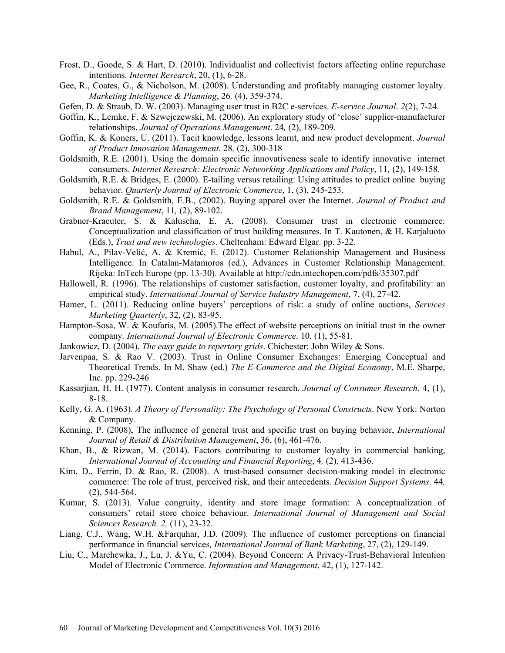- Frost, D., Goode, S. & Hart, D. (2010). Individualist and collectivist factors affecting online repurchase intentions. *Internet Research*, 20, (1), 6-28.
- Gee, R., Coates, G., & Nicholson, M. (2008). Understanding and profitably managing customer loyalty. *Marketing Intelligence & Planning*, 26*,* (4), 359-374.
- Gefen, D. & Straub, D. W. (2003). Managing user trust in B2C e-services. *E-service Journal*. *2*(2), 7-24.
- Goffin, K., Lemke, F. & Szwejczewski, M. (2006). An exploratory study of 'close' supplier-manufacturer relationships. *Journal of Operations Management*. 24*,* (2), 189-209.
- Goffin, K. & Koners, U. (2011). Tacit knowledge, lessons learnt, and new product development. *Journal of Product Innovation Management*. 28*,* (2), 300-318
- Goldsmith, R.E. (2001). Using the domain specific innovativeness scale to identify innovative internet consumers. *Internet Research: Electronic Networking Applications and Policy*, 11*,* (2), 149-158.
- Goldsmith, R.E. & Bridges, E. (2000). E-tailing versus retailing: Using attitudes to predict online buying behavior. *Quarterly Journal of Electronic Commerce*, 1, (3), 245-253.
- Goldsmith, R.E. & Goldsmith, E.B., (2002). Buying apparel over the Internet. *Journal of Product and Brand Management*, 11*,* (2), 89-102.
- Grabner-Kraeuter, S. & Kaluscha, E. A. (2008). Consumer trust in electronic commerce: Conceptualization and classification of trust building measures. In T. Kautonen, & H. Karjaluoto (Eds.), *Trust and new technologies*. Cheltenham: Edward Elgar. pp. 3-22.
- Habul, A., Pilav-Velić, A. & Kremić, E. (2012). Customer Relationship Management and Business Intelligence. In Catalan-Matamoros (ed.), Advances in Customer Relationship Management. Rijeka: InTech Europe (pp. 13-30). Available at http://cdn.intechopen.com/pdfs/35307.pdf
- Hallowell, R. (1996). The relationships of customer satisfaction, customer loyalty, and profitability: an empirical study. *International Journal of Service Industry Management*, 7, (4), 27-42.
- Hamer, L. (2011). Reducing online buyers' perceptions of risk: a study of online auctions, *Services Marketing Quarterly*, 32, (2), 83-95.
- Hampton-Sosa, W. & Koufaris, M. (2005).The effect of website perceptions on initial trust in the owner company*. International Journal of Electronic Commerce*. 10*,* (1), 55-81.
- Jankowicz, D. (2004). *The easy guide to repertory grids*. Chichester: John Wiley & Sons.
- Jarvenpaa, S. & Rao V. (2003). Trust in Online Consumer Exchanges: Emerging Conceptual and Theoretical Trends. In M. Shaw (ed.) *The E-Commerce and the Digital Economy*, M.E. Sharpe, Inc. pp. 229-246
- Kassarjian, H. H. (1977). Content analysis in consumer research. *Journal of Consumer Research*. 4, (1), 8-18.
- Kelly, G. A. (1963). *A Theory of Personality: The Psychology of Personal Constructs*. New York: Norton & Company.
- Kenning, P. (2008), The influence of general trust and specific trust on buying behavior, *International Journal of Retail & Distribution Management*, 36, (6), 461-476.
- Khan, B., & Rizwan, M. (2014). Factors contributing to customer loyalty in commercial banking, *International Journal of Accounting and Financial Reporting*, 4*,* (2), 413-436.
- Kim, D., Ferrin, D. & Rao, R. (2008). A trust-based consumer decision-making model in electronic commerce: The role of trust, perceived risk, and their antecedents. *Decision Support Systems*. 44*,*  (2), 544-564.
- Kumar, S. (2013). Value congruity, identity and store image formation: A conceptualization of consumers' retail store choice behaviour. *International Journal of Management and Social Sciences Research. 2,* (11), 23-32.
- Liang, C.J., Wang, W.H. &Farquhar, J.D. (2009). The influence of customer perceptions on financial performance in financial services*, International Journal of Bank Marketing*, 27, (2), 129-149.
- Liu, C., Marchewka, J., Lu, J. &Yu, C. (2004). Beyond Concern: A Privacy-Trust-Behavioral Intention Model of Electronic Commerce. *Information and Management*, 42, (1), 127-142.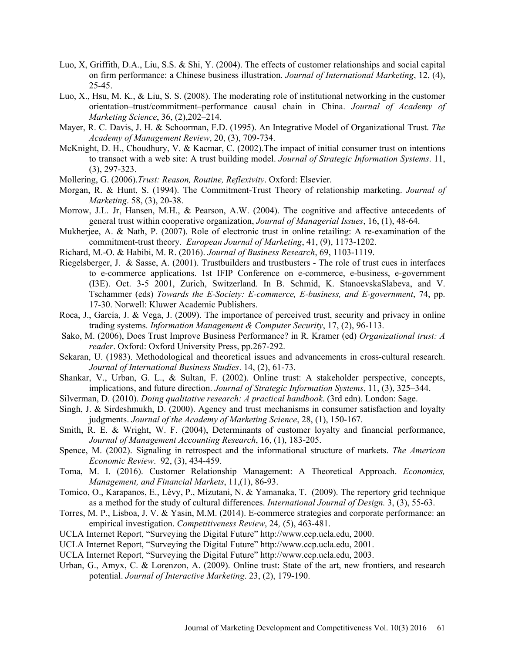- Luo, X, Griffith, D.A., Liu, S.S. & Shi, Y. (2004). The effects of customer relationships and social capital on firm performance: a Chinese business illustration. *Journal of International Marketing*, 12, (4),  $25 - 45$ .
- Luo, X., Hsu, M. K., & Liu, S. S. (2008). The moderating role of institutional networking in the customer orientation–trust/commitment–performance causal chain in China. *Journal of Academy of Marketing Science*, 36, (2),202–214.
- Mayer, R. C. Davis, J. H. & Schoorman, F.D. (1995). An Integrative Model of Organizational Trust. *The Academy of Management Review*, 20, (3), 709-734.
- McKnight, D. H., Choudhury, V. & Kacmar, C. (2002). The impact of initial consumer trust on intentions to transact with a web site: A trust building model. *Journal of Strategic Information Systems*. 11, (3), 297-323.
- Mollering, G. (2006).*Trust: Reason, Routine, Reflexivity*. Oxford: Elsevier.
- Morgan, R. & Hunt, S. (1994). The Commitment-Trust Theory of relationship marketing. *Journal of Marketing*. 58, (3), 20-38.
- Morrow, J.L. Jr, Hansen, M.H., & Pearson, A.W. (2004). The cognitive and affective antecedents of general trust within cooperative organization, *Journal of Managerial Issues*, 16, (1), 48-64.
- Mukherjee, A. & Nath, P. (2007). Role of electronic trust in online retailing: A re-examination of the commitment-trust theory. *European Journal of Marketing*, 41, (9), 1173-1202.
- Richard, M.-O. & Habibi, M. R. (2016). *Journal of Business Research*, 69, 1103-1119.
- Riegelsberger, J. & Sasse, A. (2001). Trustbuilders and trustbusters The role of trust cues in interfaces to e-commerce applications. 1st IFIP Conference on e-commerce, e-business, e-government (I3E). Oct. 3-5 2001, Zurich, Switzerland. In B. Schmid, K. StanoevskaSlabeva, and V. Tschammer (eds) *Towards the E-Society: E-commerce, E-business, and E-government*, 74, pp. 17-30. Norwell: Kluwer Academic Publishers.
- Roca, J., García, J. & Vega, J. (2009). The importance of perceived trust, security and privacy in online trading systems. *Information Management & Computer Security*, 17, (2), 96-113.
- Sako, M. (2006), Does Trust Improve Business Performance? in R. Kramer (ed) *Organizational trust: A reader*. Oxford: Oxford University Press, pp.267-292.
- Sekaran, U. (1983). Methodological and theoretical issues and advancements in cross-cultural research. *Journal of International Business Studies*. 14, (2), 61-73.
- Shankar, V., Urban, G. L., & Sultan, F. (2002). Online trust: A stakeholder perspective, concepts, implications, and future direction. *Journal of Strategic Information Systems*, 11, (3), 325–344.
- Silverman, D. (2010). *Doing qualitative research: A practical handbook*. (3rd edn). London: Sage.
- Singh, J. & Sirdeshmukh, D. (2000). Agency and trust mechanisms in consumer satisfaction and loyalty judgments. *Journal of the Academy of Marketing Science*, 28, (1), 150-167.
- Smith, R. E. & Wright, W. F. (2004), Determinants of customer loyalty and financial performance, *Journal of Management Accounting Research*, 16, (1), 183-205.
- Spence, M. (2002). Signaling in retrospect and the informational structure of markets. *The American Economic Review*. 92, (3), 434-459.
- Toma, M. I. (2016). Customer Relationship Management: A Theoretical Approach. *Economics, Management, and Financial Markets*, 11,(1), 86-93.
- Tomico, O., Karapanos, E., Lévy, P., Mizutani, N. & Yamanaka, T. (2009). The repertory grid technique as a method for the study of cultural differences. *International Journal of Design.* 3, (3), 55-63.
- Torres, M. P., Lisboa, J. V. & Yasin, M.M. (2014). E-commerce strategies and corporate performance: an empirical investigation. *Competitiveness Review*, 24*,* (5), 463-481.
- UCLA Internet Report, "Surveying the Digital Future" http://www.ccp.ucla.edu, 2000.
- UCLA Internet Report, "Surveying the Digital Future" http://www.ccp.ucla.edu, 2001.
- UCLA Internet Report, "Surveying the Digital Future" http://www.ccp.ucla.edu, 2003.
- Urban, G., Amyx, C. & Lorenzon, A. (2009). Online trust: State of the art, new frontiers, and research potential. *Journal of Interactive Marketing*. 23, (2), 179-190.